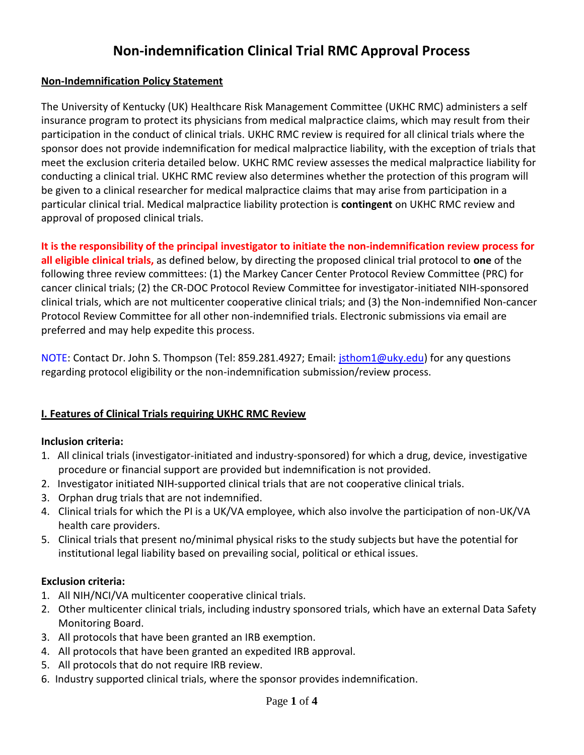# **Non-indemnification Clinical Trial RMC Approval Process**

### **Non-Indemnification Policy Statement**

The University of Kentucky (UK) Healthcare Risk Management Committee (UKHC RMC) administers a self insurance program to protect its physicians from medical malpractice claims, which may result from their participation in the conduct of clinical trials. UKHC RMC review is required for all clinical trials where the sponsor does not provide indemnification for medical malpractice liability, with the exception of trials that meet the exclusion criteria detailed below. UKHC RMC review assesses the medical malpractice liability for conducting a clinical trial. UKHC RMC review also determines whether the protection of this program will be given to a clinical researcher for medical malpractice claims that may arise from participation in a particular clinical trial. Medical malpractice liability protection is **contingent** on UKHC RMC review and approval of proposed clinical trials.

**It is the responsibility of the principal investigator to initiate the non-indemnification review process for all eligible clinical trials,** as defined below, by directing the proposed clinical trial protocol to **one** of the following three review committees: (1) the Markey Cancer Center Protocol Review Committee (PRC) for cancer clinical trials; (2) the CR-DOC Protocol Review Committee for investigator-initiated NIH-sponsored clinical trials, which are not multicenter cooperative clinical trials; and (3) the Non-indemnified Non-cancer Protocol Review Committee for all other non-indemnified trials. Electronic submissions via email are preferred and may help expedite this process.

NOTE: Contact Dr. John S. Thompson (Tel: 859.281.4927; Email: [jsthom1@uky.edu\)](mailto:jsthom1@uky.edu) for any questions regarding protocol eligibility or the non-indemnification submission/review process.

# **I. Features of Clinical Trials requiring UKHC RMC Review**

#### **Inclusion criteria:**

- 1. All clinical trials (investigator-initiated and industry-sponsored) for which a drug, device, investigative procedure or financial support are provided but indemnification is not provided.
- 2. Investigator initiated NIH-supported clinical trials that are not cooperative clinical trials.
- 3. Orphan drug trials that are not indemnified.
- 4. Clinical trials for which the PI is a UK/VA employee, which also involve the participation of non-UK/VA health care providers.
- 5. Clinical trials that present no/minimal physical risks to the study subjects but have the potential for institutional legal liability based on prevailing social, political or ethical issues.

#### **Exclusion criteria:**

- 1. All NIH/NCI/VA multicenter cooperative clinical trials.
- 2. Other multicenter clinical trials, including industry sponsored trials, which have an external Data Safety Monitoring Board.
- 3. All protocols that have been granted an IRB exemption.
- 4. All protocols that have been granted an expedited IRB approval.
- 5. All protocols that do not require IRB review.
- 6. Industry supported clinical trials, where the sponsor provides indemnification.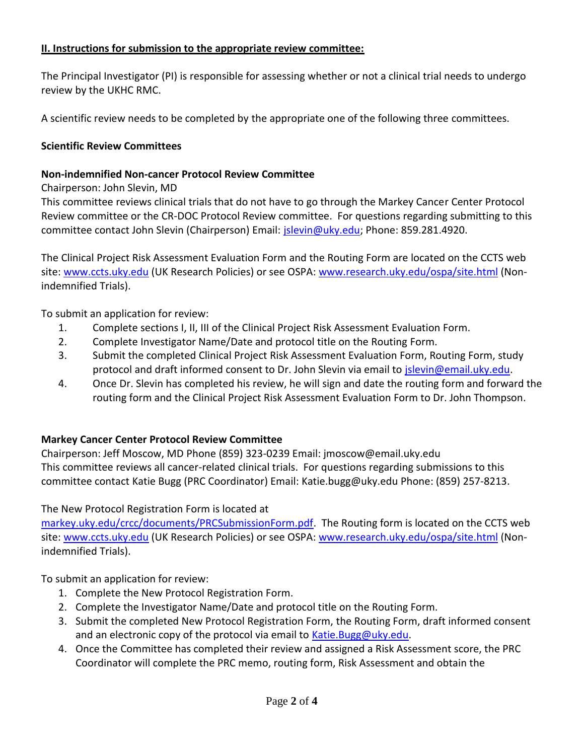#### **II. Instructions for submission to the appropriate review committee:**

The Principal Investigator (PI) is responsible for assessing whether or not a clinical trial needs to undergo review by the UKHC RMC.

A scientific review needs to be completed by the appropriate one of the following three committees.

## **Scientific Review Committees**

### **Non-indemnified Non-cancer Protocol Review Committee**

Chairperson: John Slevin, MD

This committee reviews clinical trials that do not have to go through the Markey Cancer Center Protocol Review committee or the CR-DOC Protocol Review committee. For questions regarding submitting to this committee contact John Slevin (Chairperson) Email: [jslevin@uky.edu;](mailto:jslevin@uky.edu) Phone: 859.281.4920.

The Clinical Project Risk Assessment Evaluation Form and the Routing Form are located on the CCTS web site: [www.ccts.uky.edu](http://www.ccts.uky.edu/) (UK Research Policies) or see OSPA: [www.research.uky.edu/ospa/site.html](http://www.research.uky.edu/ospa/site.html) (Nonindemnified Trials).

To submit an application for review:

- 1. Complete sections I, II, III of the Clinical Project Risk Assessment Evaluation Form.
- 2. Complete Investigator Name/Date and protocol title on the Routing Form.
- 3. Submit the completed Clinical Project Risk Assessment Evaluation Form, Routing Form, study protocol and draft informed consent to Dr. John Slevin via email to [jslevin@email.uky.edu.](mailto:jslevin@email.uky.edu)
- 4. Once Dr. Slevin has completed his review, he will sign and date the routing form and forward the routing form and the Clinical Project Risk Assessment Evaluation Form to Dr. John Thompson.

# **Markey Cancer Center Protocol Review Committee**

Chairperson: Jeff Moscow, MD Phone (859) 323-0239 Email: jmoscow@email.uky.edu This committee reviews all cancer-related clinical trials. For questions regarding submissions to this committee contact Katie Bugg (PRC Coordinator) Email: Katie.bugg@uky.edu Phone: (859) 257-8213.

The New Protocol Registration Form is located at

[markey.uky.edu/crcc/documents/PRCSubmissionForm.pdf.](http://markey.uky.edu/crcc/documents/PRCSubmissionForm.pdf) The Routing form is located on the CCTS web site: [www.ccts.uky.edu](http://www.ccts.uky.edu/) (UK Research Policies) or see OSPA: [www.research.uky.edu/ospa/site.html](http://www.research.uky.edu/ospa/site.html) (Nonindemnified Trials).

To submit an application for review:

- 1. Complete the New Protocol Registration Form.
- 2. Complete the Investigator Name/Date and protocol title on the Routing Form.
- 3. Submit the completed New Protocol Registration Form, the Routing Form, draft informed consent and an electronic copy of the protocol via email to [Katie.Bugg@uky.edu.](mailto:Katie.Bugg@uky.edu)
- 4. Once the Committee has completed their review and assigned a Risk Assessment score, the PRC Coordinator will complete the PRC memo, routing form, Risk Assessment and obtain the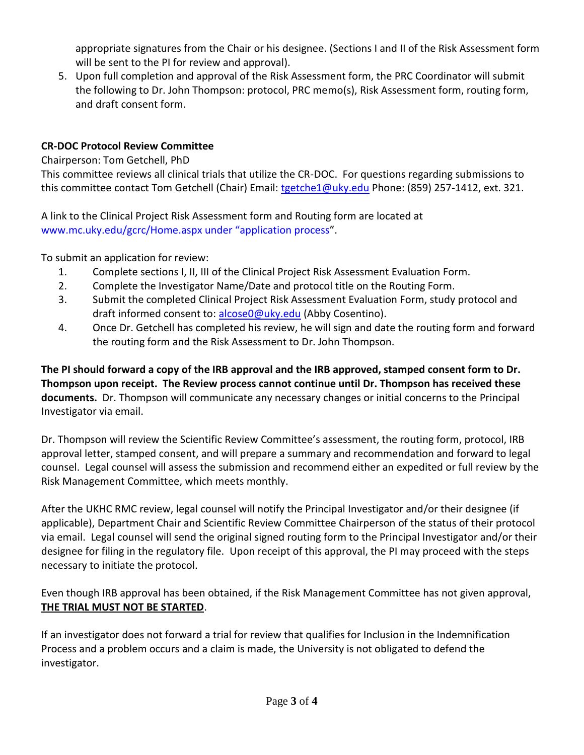appropriate signatures from the Chair or his designee. (Sections I and II of the Risk Assessment form will be sent to the PI for review and approval).

5. Upon full completion and approval of the Risk Assessment form, the PRC Coordinator will submit the following to Dr. John Thompson: protocol, PRC memo(s), Risk Assessment form, routing form, and draft consent form.

# **CR-DOC Protocol Review Committee**

Chairperson: Tom Getchell, PhD

This committee reviews all clinical trials that utilize the CR-DOC. For questions regarding submissions to this committee contact Tom Getchell (Chair) Email: [tgetche1@uky.edu](mailto:tgetche1@uky.edu) Phone: (859) 257-1412, ext. 321.

A link to the Clinical Project Risk Assessment form and Routing form are located at www.mc.uky.edu/gcrc/Home.aspx under "application process".

To submit an application for review:

- 1. Complete sections I, II, III of the Clinical Project Risk Assessment Evaluation Form.
- 2. Complete the Investigator Name/Date and protocol title on the Routing Form.
- 3. Submit the completed Clinical Project Risk Assessment Evaluation Form, study protocol and draft informed consent to: [alcose0@uky.edu](mailto:alcose0@uky.edu) (Abby Cosentino).
- 4. Once Dr. Getchell has completed his review, he will sign and date the routing form and forward the routing form and the Risk Assessment to Dr. John Thompson.

**The PI should forward a copy of the IRB approval and the IRB approved, stamped consent form to Dr. Thompson upon receipt. The Review process cannot continue until Dr. Thompson has received these documents.** Dr. Thompson will communicate any necessary changes or initial concerns to the Principal Investigator via email.

Dr. Thompson will review the Scientific Review Committee's assessment, the routing form, protocol, IRB approval letter, stamped consent, and will prepare a summary and recommendation and forward to legal counsel. Legal counsel will assess the submission and recommend either an expedited or full review by the Risk Management Committee, which meets monthly.

After the UKHC RMC review, legal counsel will notify the Principal Investigator and/or their designee (if applicable), Department Chair and Scientific Review Committee Chairperson of the status of their protocol via email. Legal counsel will send the original signed routing form to the Principal Investigator and/or their designee for filing in the regulatory file. Upon receipt of this approval, the PI may proceed with the steps necessary to initiate the protocol.

Even though IRB approval has been obtained, if the Risk Management Committee has not given approval, **THE TRIAL MUST NOT BE STARTED**.

If an investigator does not forward a trial for review that qualifies for Inclusion in the Indemnification Process and a problem occurs and a claim is made, the University is not obligated to defend the investigator.